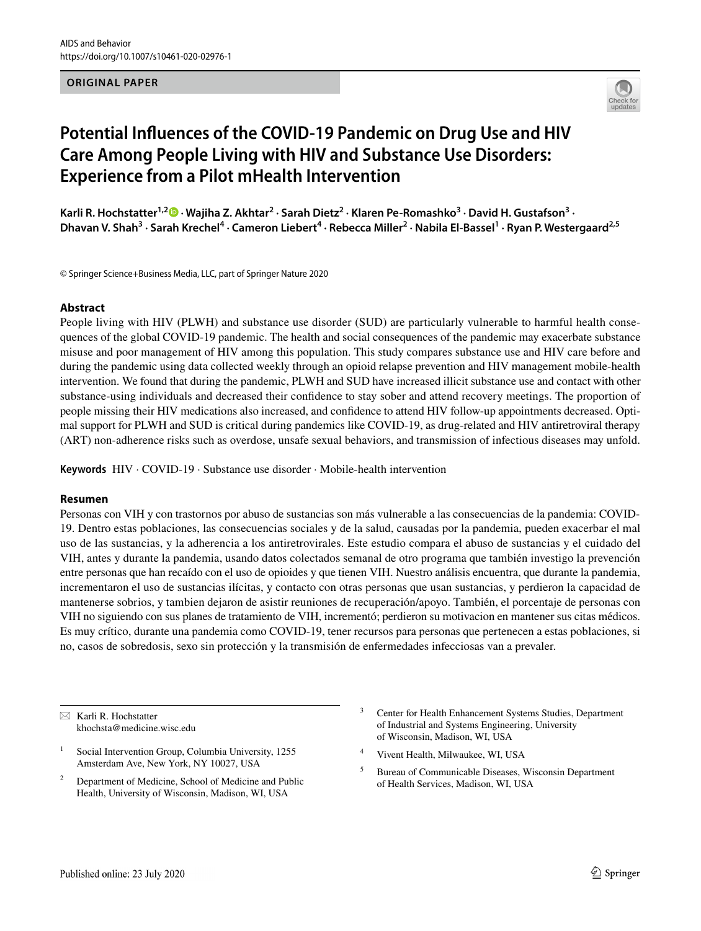## **ORIGINAL PAPER**



# **Potential Infuences of the COVID‑19 Pandemic on Drug Use and HIV Care Among People Living with HIV and Substance Use Disorders: Experience from a Pilot mHealth Intervention**

Karli R. Hochstatter<sup>1,2</sup> D [·](http://orcid.org/0000-0001-6891-953X) Wajiha Z. Akhtar<sup>2</sup> · Sarah Dietz<sup>2</sup> · Klaren Pe-Romashko<sup>3</sup> · David H. Gustafson<sup>3</sup> · Dhavan V. Shah<sup>3</sup> • Sarah Krechel<sup>4</sup> • Cameron Liebert<sup>4</sup> • Rebecca Miller<sup>2</sup> • Nabila El-Bassel<sup>1</sup> • Ryan P. Westergaard<sup>2,5</sup>

© Springer Science+Business Media, LLC, part of Springer Nature 2020

## **Abstract**

People living with HIV (PLWH) and substance use disorder (SUD) are particularly vulnerable to harmful health consequences of the global COVID-19 pandemic. The health and social consequences of the pandemic may exacerbate substance misuse and poor management of HIV among this population. This study compares substance use and HIV care before and during the pandemic using data collected weekly through an opioid relapse prevention and HIV management mobile-health intervention. We found that during the pandemic, PLWH and SUD have increased illicit substance use and contact with other substance-using individuals and decreased their confdence to stay sober and attend recovery meetings. The proportion of people missing their HIV medications also increased, and confdence to attend HIV follow-up appointments decreased. Optimal support for PLWH and SUD is critical during pandemics like COVID-19, as drug-related and HIV antiretroviral therapy (ART) non-adherence risks such as overdose, unsafe sexual behaviors, and transmission of infectious diseases may unfold.

**Keywords** HIV · COVID-19 · Substance use disorder · Mobile-health intervention

#### **Resumen**

Personas con VIH y con trastornos por abuso de sustancias son más vulnerable a las consecuencias de la pandemia: COVID-19. Dentro estas poblaciones, las consecuencias sociales y de la salud, causadas por la pandemia, pueden exacerbar el mal uso de las sustancias, y la adherencia a los antiretrovirales. Este estudio compara el abuso de sustancias y el cuidado del VIH, antes y durante la pandemia, usando datos colectados semanal de otro programa que también investigo la prevención entre personas que han recaído con el uso de opioides y que tienen VIH. Nuestro análisis encuentra, que durante la pandemia, incrementaron el uso de sustancias ilícitas, y contacto con otras personas que usan sustancias, y perdieron la capacidad de mantenerse sobrios, y tambien dejaron de asistir reuniones de recuperación/apoyo. También, el porcentaje de personas con VIH no siguiendo con sus planes de tratamiento de VIH, incrementó; perdieron su motivacion en mantener sus citas médicos. Es muy crítico, durante una pandemia como COVID-19, tener recursos para personas que pertenecen a estas poblaciones, si no, casos de sobredosis, sexo sin protección y la transmisión de enfermedades infecciosas van a prevaler.

 $\boxtimes$  Karli R. Hochstatter khochsta@medicine.wisc.edu

- Social Intervention Group, Columbia University, 1255 Amsterdam Ave, New York, NY 10027, USA
- <sup>2</sup> Department of Medicine, School of Medicine and Public Health, University of Wisconsin, Madison, WI, USA
- Center for Health Enhancement Systems Studies, Department of Industrial and Systems Engineering, University of Wisconsin, Madison, WI, USA
- <sup>4</sup> Vivent Health, Milwaukee, WI, USA
- <sup>5</sup> Bureau of Communicable Diseases, Wisconsin Department of Health Services, Madison, WI, USA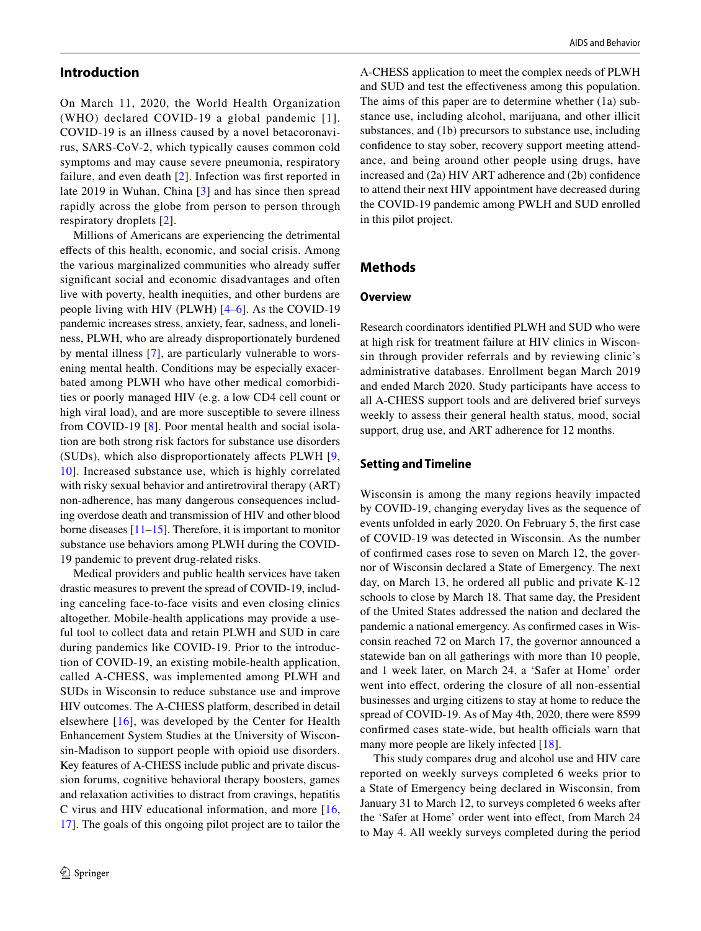### **Introduction**

On March 11, 2020, the World Health Organization (WHO) declared COVID-19 a global pandemic [[1\]](#page-5-0). COVID-19 is an illness caused by a novel betacoronavirus, SARS-CoV-2, which typically causes common cold symptoms and may cause severe pneumonia, respiratory failure, and even death [[2](#page-5-1)]. Infection was frst reported in late 2019 in Wuhan, China [\[3\]](#page-5-2) and has since then spread rapidly across the globe from person to person through respiratory droplets [[2](#page-5-1)].

Millions of Americans are experiencing the detrimental efects of this health, economic, and social crisis. Among the various marginalized communities who already sufer signifcant social and economic disadvantages and often live with poverty, health inequities, and other burdens are people living with HIV (PLWH) [[4–](#page-5-3)[6\]](#page-5-4). As the COVID-19 pandemic increases stress, anxiety, fear, sadness, and loneliness, PLWH, who are already disproportionately burdened by mental illness [\[7](#page-5-5)], are particularly vulnerable to worsening mental health. Conditions may be especially exacerbated among PLWH who have other medical comorbidities or poorly managed HIV (e.g. a low CD4 cell count or high viral load), and are more susceptible to severe illness from COVID-19 [[8](#page-5-6)]. Poor mental health and social isolation are both strong risk factors for substance use disorders (SUDs), which also disproportionately afects PLWH [\[9,](#page-5-7) [10](#page-5-8)]. Increased substance use, which is highly correlated with risky sexual behavior and antiretroviral therapy (ART) non-adherence, has many dangerous consequences including overdose death and transmission of HIV and other blood borne diseases [\[11–](#page-5-9)[15\]](#page-5-10). Therefore, it is important to monitor substance use behaviors among PLWH during the COVID-19 pandemic to prevent drug-related risks.

Medical providers and public health services have taken drastic measures to prevent the spread of COVID-19, including canceling face-to-face visits and even closing clinics altogether. Mobile-health applications may provide a useful tool to collect data and retain PLWH and SUD in care during pandemics like COVID-19. Prior to the introduction of COVID-19, an existing mobile-health application, called A-CHESS, was implemented among PLWH and SUDs in Wisconsin to reduce substance use and improve HIV outcomes. The A-CHESS platform, described in detail elsewhere [[16](#page-5-11)], was developed by the Center for Health Enhancement System Studies at the University of Wisconsin-Madison to support people with opioid use disorders. Key features of A-CHESS include public and private discussion forums, cognitive behavioral therapy boosters, games and relaxation activities to distract from cravings, hepatitis C virus and HIV educational information, and more [\[16,](#page-5-11) [17](#page-5-12)]. The goals of this ongoing pilot project are to tailor the A-CHESS application to meet the complex needs of PLWH and SUD and test the efectiveness among this population. The aims of this paper are to determine whether (1a) substance use, including alcohol, marijuana, and other illicit substances, and (1b) precursors to substance use, including confdence to stay sober, recovery support meeting attendance, and being around other people using drugs, have increased and (2a) HIV ART adherence and (2b) confdence to attend their next HIV appointment have decreased during the COVID-19 pandemic among PWLH and SUD enrolled in this pilot project.

## **Methods**

#### **Overview**

Research coordinators identifed PLWH and SUD who were at high risk for treatment failure at HIV clinics in Wisconsin through provider referrals and by reviewing clinic's administrative databases. Enrollment began March 2019 and ended March 2020. Study participants have access to all A-CHESS support tools and are delivered brief surveys weekly to assess their general health status, mood, social support, drug use, and ART adherence for 12 months.

## **Setting and Timeline**

Wisconsin is among the many regions heavily impacted by COVID-19, changing everyday lives as the sequence of events unfolded in early 2020. On February 5, the frst case of COVID-19 was detected in Wisconsin. As the number of confrmed cases rose to seven on March 12, the governor of Wisconsin declared a State of Emergency. The next day, on March 13, he ordered all public and private K-12 schools to close by March 18. That same day, the President of the United States addressed the nation and declared the pandemic a national emergency. As confrmed cases in Wisconsin reached 72 on March 17, the governor announced a statewide ban on all gatherings with more than 10 people, and 1 week later, on March 24, a 'Safer at Home' order went into effect, ordering the closure of all non-essential businesses and urging citizens to stay at home to reduce the spread of COVID-19. As of May 4th, 2020, there were 8599 confirmed cases state-wide, but health officials warn that many more people are likely infected [\[18](#page-5-13)].

This study compares drug and alcohol use and HIV care reported on weekly surveys completed 6 weeks prior to a State of Emergency being declared in Wisconsin, from January 31 to March 12, to surveys completed 6 weeks after the 'Safer at Home' order went into efect, from March 24 to May 4. All weekly surveys completed during the period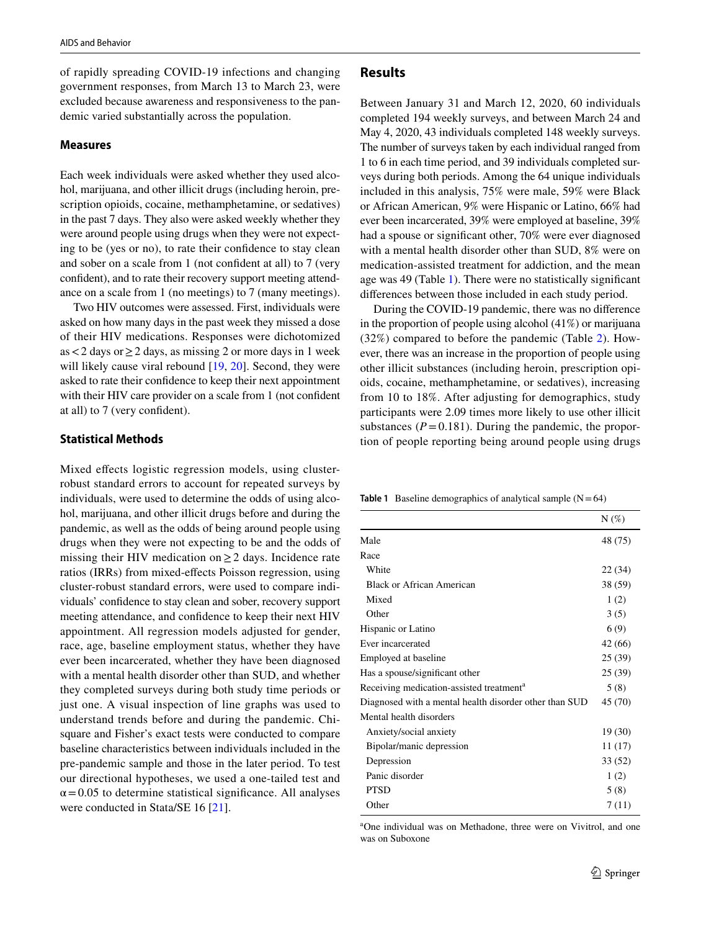of rapidly spreading COVID-19 infections and changing government responses, from March 13 to March 23, were excluded because awareness and responsiveness to the pandemic varied substantially across the population.

#### **Measures**

Each week individuals were asked whether they used alcohol, marijuana, and other illicit drugs (including heroin, prescription opioids, cocaine, methamphetamine, or sedatives) in the past 7 days. They also were asked weekly whether they were around people using drugs when they were not expecting to be (yes or no), to rate their confdence to stay clean and sober on a scale from 1 (not confdent at all) to 7 (very confdent), and to rate their recovery support meeting attendance on a scale from 1 (no meetings) to 7 (many meetings).

Two HIV outcomes were assessed. First, individuals were asked on how many days in the past week they missed a dose of their HIV medications. Responses were dichotomized as <2 days or  $\geq$  2 days, as missing 2 or more days in 1 week will likely cause viral rebound [[19,](#page-5-14) [20](#page-5-15)]. Second, they were asked to rate their confdence to keep their next appointment with their HIV care provider on a scale from 1 (not confdent at all) to 7 (very confdent).

#### **Statistical Methods**

Mixed efects logistic regression models, using clusterrobust standard errors to account for repeated surveys by individuals, were used to determine the odds of using alcohol, marijuana, and other illicit drugs before and during the pandemic, as well as the odds of being around people using drugs when they were not expecting to be and the odds of missing their HIV medication on  $\geq 2$  days. Incidence rate ratios (IRRs) from mixed-efects Poisson regression, using cluster-robust standard errors, were used to compare individuals' confdence to stay clean and sober, recovery support meeting attendance, and confdence to keep their next HIV appointment. All regression models adjusted for gender, race, age, baseline employment status, whether they have ever been incarcerated, whether they have been diagnosed with a mental health disorder other than SUD, and whether they completed surveys during both study time periods or just one. A visual inspection of line graphs was used to understand trends before and during the pandemic. Chisquare and Fisher's exact tests were conducted to compare baseline characteristics between individuals included in the pre-pandemic sample and those in the later period. To test our directional hypotheses, we used a one-tailed test and  $\alpha$  = 0.05 to determine statistical significance. All analyses were conducted in Stata/SE 16 [\[21\]](#page-5-16).

## **Results**

Between January 31 and March 12, 2020, 60 individuals completed 194 weekly surveys, and between March 24 and May 4, 2020, 43 individuals completed 148 weekly surveys. The number of surveys taken by each individual ranged from 1 to 6 in each time period, and 39 individuals completed surveys during both periods. Among the 64 unique individuals included in this analysis, 75% were male, 59% were Black or African American, 9% were Hispanic or Latino, 66% had ever been incarcerated, 39% were employed at baseline, 39% had a spouse or signifcant other, 70% were ever diagnosed with a mental health disorder other than SUD, 8% were on medication-assisted treatment for addiction, and the mean age was 49 (Table [1\)](#page-2-0). There were no statistically signifcant diferences between those included in each study period.

During the COVID-19 pandemic, there was no diference in the proportion of people using alcohol (41%) or marijuana (32%) compared to before the pandemic (Table [2](#page-3-0)). However, there was an increase in the proportion of people using other illicit substances (including heroin, prescription opioids, cocaine, methamphetamine, or sedatives), increasing from 10 to 18%. After adjusting for demographics, study participants were 2.09 times more likely to use other illicit substances ( $P = 0.181$ ). During the pandemic, the proportion of people reporting being around people using drugs

<span id="page-2-0"></span>**Table 1** Baseline demographics of analytical sample  $(N=64)$ 

|                                                        | $N(\%)$ |
|--------------------------------------------------------|---------|
| Male                                                   | 48 (75) |
| Race                                                   |         |
| White                                                  | 22 (34) |
| Black or African American                              | 38 (59) |
| Mixed                                                  | 1(2)    |
| Other                                                  | 3(5)    |
| Hispanic or Latino                                     | 6(9)    |
| Ever incarcerated                                      | 42 (66) |
| Employed at baseline                                   | 25(39)  |
| Has a spouse/significant other                         | 25(39)  |
| Receiving medication-assisted treatment <sup>a</sup>   | 5(8)    |
| Diagnosed with a mental health disorder other than SUD | 45 (70) |
| Mental health disorders                                |         |
| Anxiety/social anxiety                                 | 19 (30) |
| Bipolar/manic depression                               | 11 (17) |
| Depression                                             | 33 (52) |
| Panic disorder                                         | 1(2)    |
| <b>PTSD</b>                                            | 5(8)    |
| Other                                                  | 7(11)   |

a One individual was on Methadone, three were on Vivitrol, and one was on Suboxone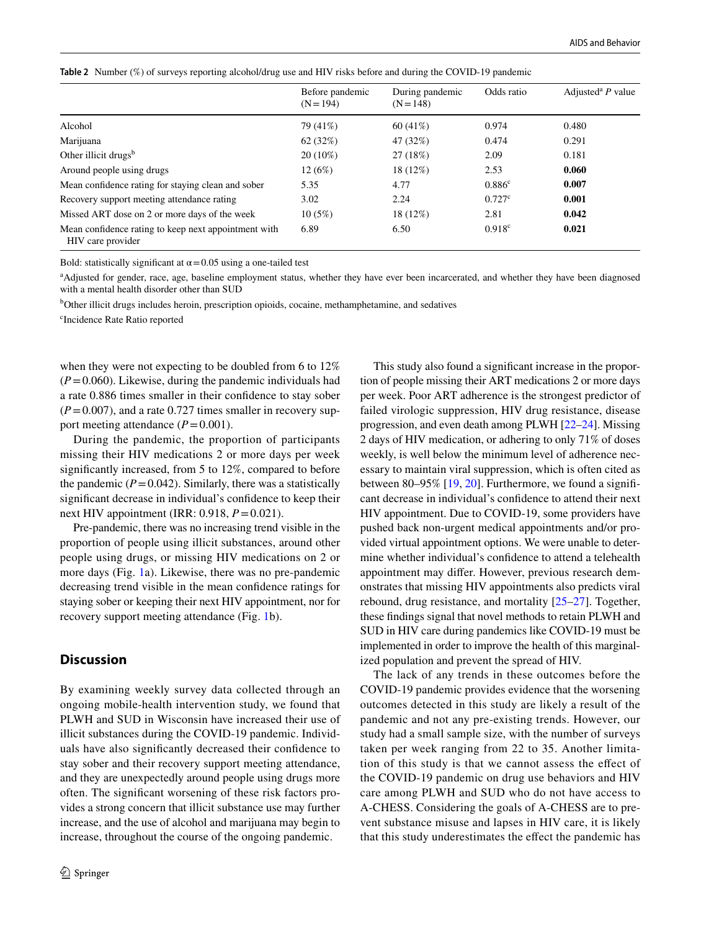<span id="page-3-0"></span>

| Table 2 Number (%) of surveys reporting alcohol/drug use and HIV risks before and during the COVID-19 pandemic |  |
|----------------------------------------------------------------------------------------------------------------|--|
|----------------------------------------------------------------------------------------------------------------|--|

|                                                                           | Before pandemic<br>$(N = 194)$ | During pandemic<br>$(N = 148)$ | Odds ratio         | Adjusted <sup>a</sup> $P$ value |  |  |
|---------------------------------------------------------------------------|--------------------------------|--------------------------------|--------------------|---------------------------------|--|--|
| Alcohol                                                                   | 79 (41%)                       | $60(41\%)$                     | 0.974              | 0.480                           |  |  |
| Marijuana                                                                 | 62(32%)                        | 47 (32%)                       | 0.474              | 0.291                           |  |  |
| Other illicit drugs <sup>b</sup>                                          | $20(10\%)$                     | 27 (18%)                       | 2.09               | 0.181                           |  |  |
| Around people using drugs                                                 | 12(6%)                         | 18 (12%)                       | 2.53               | 0.060                           |  |  |
| Mean confidence rating for staying clean and sober                        | 5.35                           | 4.77                           | 0.886 <sup>c</sup> | 0.007                           |  |  |
| Recovery support meeting attendance rating                                | 3.02                           | 2.24                           | 0.727c             | 0.001                           |  |  |
| Missed ART dose on 2 or more days of the week                             | 10(5%)                         | 18 (12%)                       | 2.81               | 0.042                           |  |  |
| Mean confidence rating to keep next appointment with<br>HIV care provider | 6.89                           | 6.50                           | $0.918^{\circ}$    | 0.021                           |  |  |

Bold: statistically significant at  $\alpha$  = 0.05 using a one-tailed test

a Adjusted for gender, race, age, baseline employment status, whether they have ever been incarcerated, and whether they have been diagnosed with a mental health disorder other than SUD

<sup>b</sup>Other illicit drugs includes heroin, prescription opioids, cocaine, methamphetamine, and sedatives

c Incidence Rate Ratio reported

when they were not expecting to be doubled from 6 to 12%  $(P=0.060)$ . Likewise, during the pandemic individuals had a rate 0.886 times smaller in their confdence to stay sober  $(P=0.007)$ , and a rate 0.727 times smaller in recovery support meeting attendance  $(P=0.001)$ .

During the pandemic, the proportion of participants missing their HIV medications 2 or more days per week signifcantly increased, from 5 to 12%, compared to before the pandemic  $(P=0.042)$ . Similarly, there was a statistically signifcant decrease in individual's confdence to keep their next HIV appointment (IRR: 0.918, *P*=0.021).

Pre-pandemic, there was no increasing trend visible in the proportion of people using illicit substances, around other people using drugs, or missing HIV medications on 2 or more days (Fig. [1](#page-4-0)a). Likewise, there was no pre-pandemic decreasing trend visible in the mean confdence ratings for staying sober or keeping their next HIV appointment, nor for recovery support meeting attendance (Fig. [1b](#page-4-0)).

## **Discussion**

By examining weekly survey data collected through an ongoing mobile-health intervention study, we found that PLWH and SUD in Wisconsin have increased their use of illicit substances during the COVID-19 pandemic. Individuals have also signifcantly decreased their confdence to stay sober and their recovery support meeting attendance, and they are unexpectedly around people using drugs more often. The signifcant worsening of these risk factors provides a strong concern that illicit substance use may further increase, and the use of alcohol and marijuana may begin to increase, throughout the course of the ongoing pandemic.

This study also found a signifcant increase in the proportion of people missing their ART medications 2 or more days per week. Poor ART adherence is the strongest predictor of failed virologic suppression, HIV drug resistance, disease progression, and even death among PLWH [[22–](#page-5-17)[24](#page-5-18)]. Missing 2 days of HIV medication, or adhering to only 71% of doses weekly, is well below the minimum level of adherence necessary to maintain viral suppression, which is often cited as between 80–95%  $[19, 20]$  $[19, 20]$  $[19, 20]$  $[19, 20]$ . Furthermore, we found a significant decrease in individual's confdence to attend their next HIV appointment. Due to COVID-19, some providers have pushed back non-urgent medical appointments and/or provided virtual appointment options. We were unable to determine whether individual's confdence to attend a telehealth appointment may difer. However, previous research demonstrates that missing HIV appointments also predicts viral rebound, drug resistance, and mortality [\[25](#page-5-19)[–27](#page-5-20)]. Together, these fndings signal that novel methods to retain PLWH and SUD in HIV care during pandemics like COVID-19 must be implemented in order to improve the health of this marginalized population and prevent the spread of HIV.

The lack of any trends in these outcomes before the COVID-19 pandemic provides evidence that the worsening outcomes detected in this study are likely a result of the pandemic and not any pre-existing trends. However, our study had a small sample size, with the number of surveys taken per week ranging from 22 to 35. Another limitation of this study is that we cannot assess the efect of the COVID-19 pandemic on drug use behaviors and HIV care among PLWH and SUD who do not have access to A-CHESS. Considering the goals of A-CHESS are to prevent substance misuse and lapses in HIV care, it is likely that this study underestimates the efect the pandemic has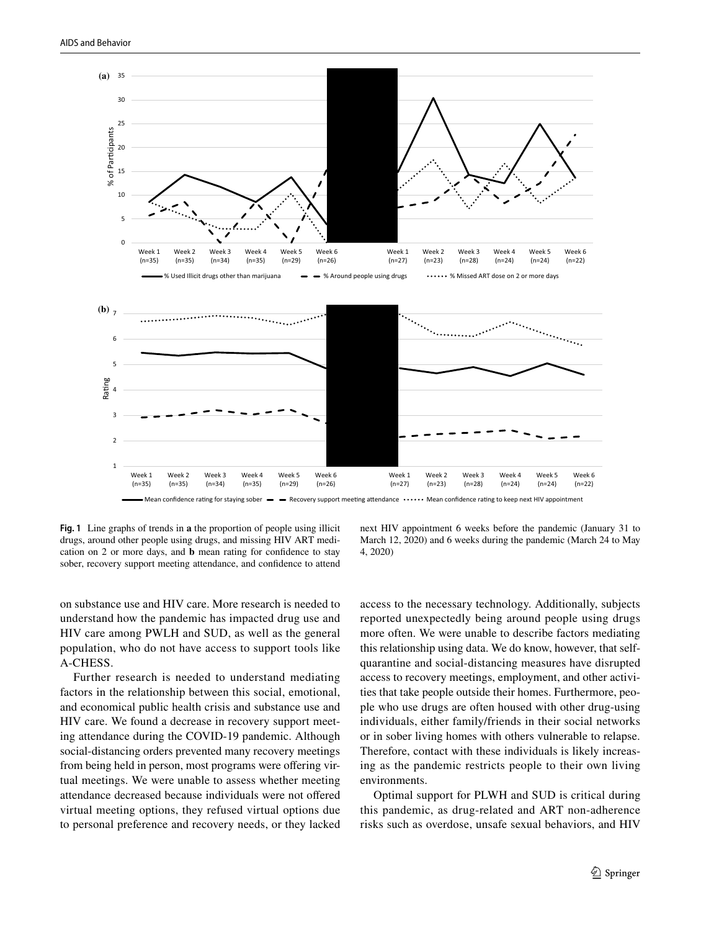

<span id="page-4-0"></span>**Fig. 1** Line graphs of trends in **a** the proportion of people using illicit drugs, around other people using drugs, and missing HIV ART medication on 2 or more days, and **b** mean rating for confdence to stay sober, recovery support meeting attendance, and confdence to attend

next HIV appointment 6 weeks before the pandemic (January 31 to March 12, 2020) and 6 weeks during the pandemic (March 24 to May 4, 2020)

on substance use and HIV care. More research is needed to understand how the pandemic has impacted drug use and HIV care among PWLH and SUD, as well as the general population, who do not have access to support tools like A-CHESS.

Further research is needed to understand mediating factors in the relationship between this social, emotional, and economical public health crisis and substance use and HIV care. We found a decrease in recovery support meeting attendance during the COVID-19 pandemic. Although social-distancing orders prevented many recovery meetings from being held in person, most programs were ofering virtual meetings. We were unable to assess whether meeting attendance decreased because individuals were not ofered virtual meeting options, they refused virtual options due to personal preference and recovery needs, or they lacked access to the necessary technology. Additionally, subjects reported unexpectedly being around people using drugs more often. We were unable to describe factors mediating this relationship using data. We do know, however, that selfquarantine and social-distancing measures have disrupted access to recovery meetings, employment, and other activities that take people outside their homes. Furthermore, people who use drugs are often housed with other drug-using individuals, either family/friends in their social networks or in sober living homes with others vulnerable to relapse. Therefore, contact with these individuals is likely increasing as the pandemic restricts people to their own living environments.

Optimal support for PLWH and SUD is critical during this pandemic, as drug-related and ART non-adherence risks such as overdose, unsafe sexual behaviors, and HIV